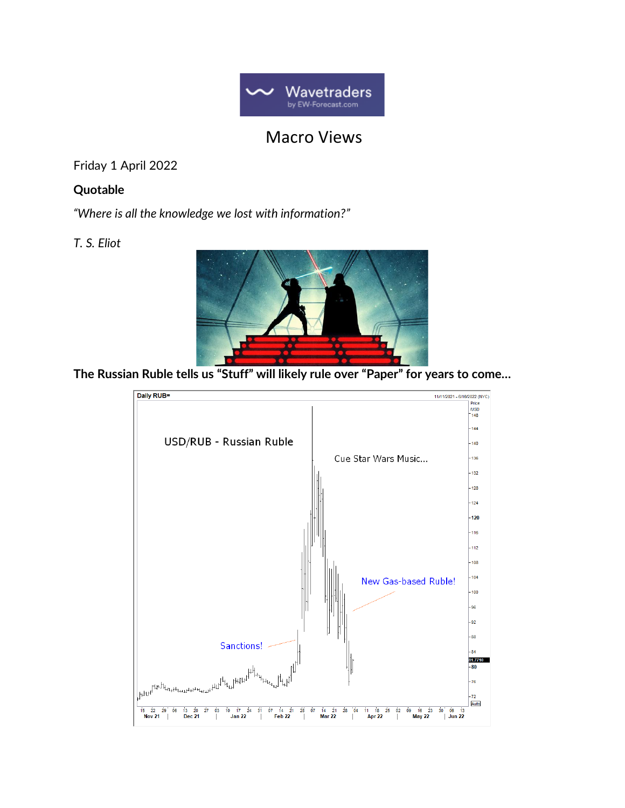

# Macro Views

Friday 1 April 2022

### **Quotable**

*"Where is all the knowledge we lost with information?"*

### *T. S. Eliot*



**The Russian Ruble tells us "Stuff" will likely rule over "Paper" for years to come…**

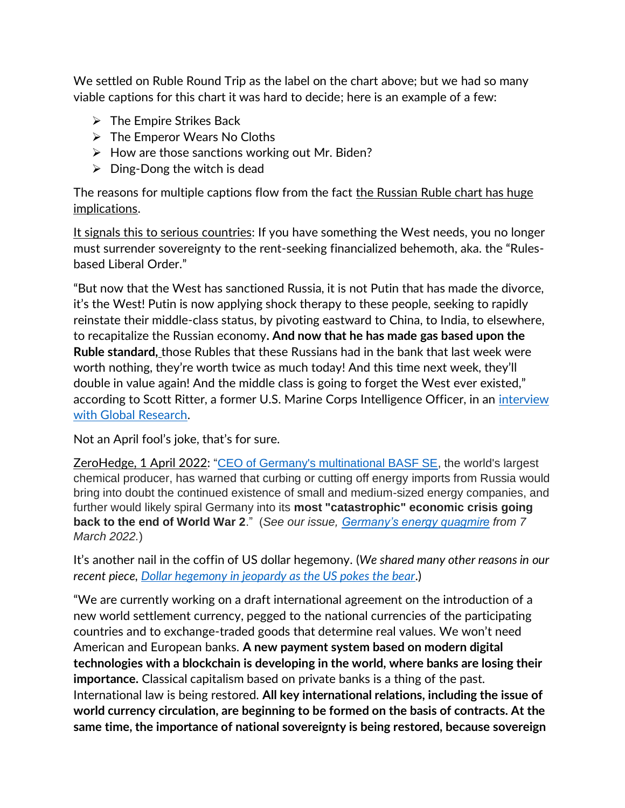We settled on Ruble Round Trip as the label on the chart above; but we had so many viable captions for this chart it was hard to decide; here is an example of a few:

- $\triangleright$  The Empire Strikes Back
- ➢ The Emperor Wears No Cloths
- $\triangleright$  How are those sanctions working out Mr. Biden?
- $\triangleright$  Ding-Dong the witch is dead

The reasons for multiple captions flow from the fact the Russian Ruble chart has huge implications.

It signals this to serious countries: If you have something the West needs, you no longer must surrender sovereignty to the rent-seeking financialized behemoth, aka. the "Rulesbased Liberal Order."

"But now that the West has sanctioned Russia, it is not Putin that has made the divorce, it's the West! Putin is now applying shock therapy to these people, seeking to rapidly reinstate their middle-class status, by pivoting eastward to China, to India, to elsewhere, to recapitalize the Russian economy**. And now that he has made gas based upon the Ruble standard,** those Rubles that these Russians had in the bank that last week were worth nothing, they're worth twice as much today! And this time next week, they'll double in value again! And the middle class is going to forget the West ever existed," according to Scott Ritter, a former U.S. Marine Corps Intelligence Officer, in an [interview](https://www.evernote.com/client/web?_sourcePage=WgQw1TfOx9jiMUD9T65RG_YvRLZ-1eYO3fqfqRu0fynRL_1nukNa4gH1t86pc1SP&__fp=XYxZK3GyFuA3yWPvuidLz-TPR6I9Jhx8&hpts=1648803218860&showSwitchService=true&usernameImmutable=false&rememberMe=true&login=&login=Sign+in&login=true&hptsh=eMaGK%2BaZxvLz22jQgrvtY0fXfjo%3D#?an=true&n=e0e5a4b4-7187-42ef-b64a-c7fa1863deaa&)  [with Global Research.](https://www.evernote.com/client/web?_sourcePage=WgQw1TfOx9jiMUD9T65RG_YvRLZ-1eYO3fqfqRu0fynRL_1nukNa4gH1t86pc1SP&__fp=XYxZK3GyFuA3yWPvuidLz-TPR6I9Jhx8&hpts=1648803218860&showSwitchService=true&usernameImmutable=false&rememberMe=true&login=&login=Sign+in&login=true&hptsh=eMaGK%2BaZxvLz22jQgrvtY0fXfjo%3D#?an=true&n=e0e5a4b4-7187-42ef-b64a-c7fa1863deaa&)

Not an April fool's joke, that's for sure.

ZeroHedge, 1 April 2022: ["CEO of Germany's multinational BASF SE,](https://www.zerohedge.com/energy/basf-ceo-warns-germany-total-collapse-if-russian-gas-supply-cut) the world's largest chemical producer, has warned that curbing or cutting off energy imports from Russia would bring into doubt the continued existence of small and medium-sized energy companies, and further would likely spiral Germany into its **most "catastrophic" economic crisis going back to the end of World War 2**." (*See our issue, [Germany's energy quagmire](https://wavetraders.com/ew_newsletter/germanys-energy-quagmire-can-you-say-stagflation-not-good-for-the-euro/) from 7 March 2022.*)

It's another nail in the coffin of US dollar hegemony. (*We shared many other reasons in our recent piece, [Dollar hegemony in jeopardy as the US pokes the bear](https://wavetraders.com/ew_newsletter/macro-views-report/)*.)

"We are currently working on a draft international agreement on the introduction of a new world settlement currency, pegged to the national currencies of the participating countries and to exchange-traded goods that determine real values. We won't need American and European banks. **A new payment system based on modern digital technologies with a blockchain is developing in the world, where banks are losing their importance.** Classical capitalism based on private banks is a thing of the past. International law is being restored. **All key international relations, including the issue of world currency circulation, are beginning to be formed on the basis of contracts. At the same time, the importance of national sovereignty is being restored, because sovereign**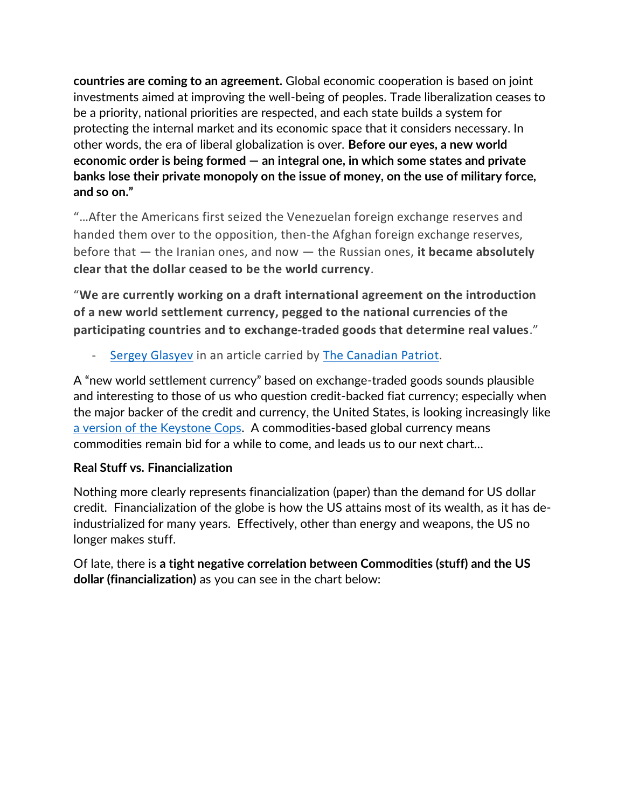**countries are coming to an agreement.** Global economic cooperation is based on joint investments aimed at improving the well-being of peoples. Trade liberalization ceases to be a priority, national priorities are respected, and each state builds a system for protecting the internal market and its economic space that it considers necessary. In other words, the era of liberal globalization is over. **Before our eyes, a new world economic order is being formed — an integral one, in which some states and private banks lose their private monopoly on the issue of money, on the use of military force, and so on."**

"…After the Americans first seized the Venezuelan foreign exchange reserves and handed them over to the opposition, then-the Afghan foreign exchange reserves, before that — the Iranian ones, and now — the Russian ones, **it became absolutely clear that the dollar ceased to be the world currency**.

"**We are currently working on a draft international agreement on the introduction of a new world settlement currency, pegged to the national currencies of the participating countries and to exchange-traded goods that determine real values**."

[Sergey Glasyev](https://en.wikipedia.org/wiki/Sergey_Glazyev) in an article carried by [The Canadian Patriot.](https://canadianpatriot.org/2022/03/30/events-like-this-happen-once-a-century-sergey-glazyev-on-the-breakdown-of-epochs-and-changing-ways-of-life/)

A "new world settlement currency" based on exchange-traded goods sounds plausible and interesting to those of us who question credit-backed fiat currency; especially when the major backer of the credit and currency, the United States, is looking increasingly like [a version of the Keystone Cops.](https://www.youtube.com/watch?v=GwUUUqgfu-E) A commodities-based global currency means commodities remain bid for a while to come, and leads us to our next chart…

## **Real Stuff vs. Financialization**

Nothing more clearly represents financialization (paper) than the demand for US dollar credit. Financialization of the globe is how the US attains most of its wealth, as it has deindustrialized for many years. Effectively, other than energy and weapons, the US no longer makes stuff.

Of late, there is **a tight negative correlation between Commodities (stuff) and the US dollar (financialization)** as you can see in the chart below: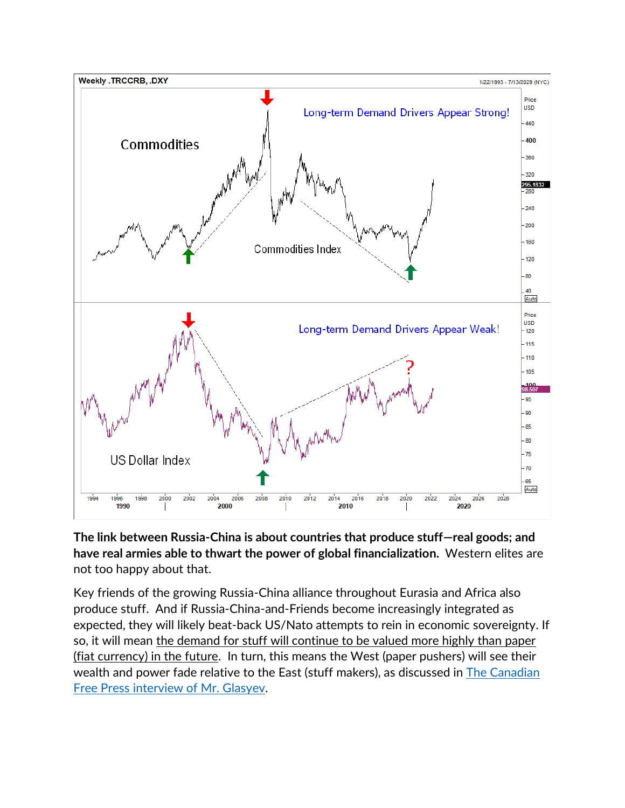

#### **The link between Russia-China is about countries that produce stuff—real goods; and have real armies able to thwart the power of global financialization.** Western elites are not too happy about that.

Key friends of the growing Russia-China alliance throughout Eurasia and Africa also produce stuff. And if Russia-China-and-Friends become increasingly integrated as expected, they will likely beat-back US/Nato attempts to rein in economic sovereignty. If so, it will mean the demand for stuff will continue to be valued more highly than paper (fiat currency) in the future. In turn, this means the West (paper pushers) will see their wealth and power fade relative to the East (stuff makers), as discussed in [The Canadian](https://canadianpatriot.org/2022/03/30/events-like-this-happen-once-a-century-sergey-glazyev-on-the-breakdown-of-epochs-and-changing-ways-of-life/)  [Free Press interview of Mr. Glasyev.](https://canadianpatriot.org/2022/03/30/events-like-this-happen-once-a-century-sergey-glazyev-on-the-breakdown-of-epochs-and-changing-ways-of-life/)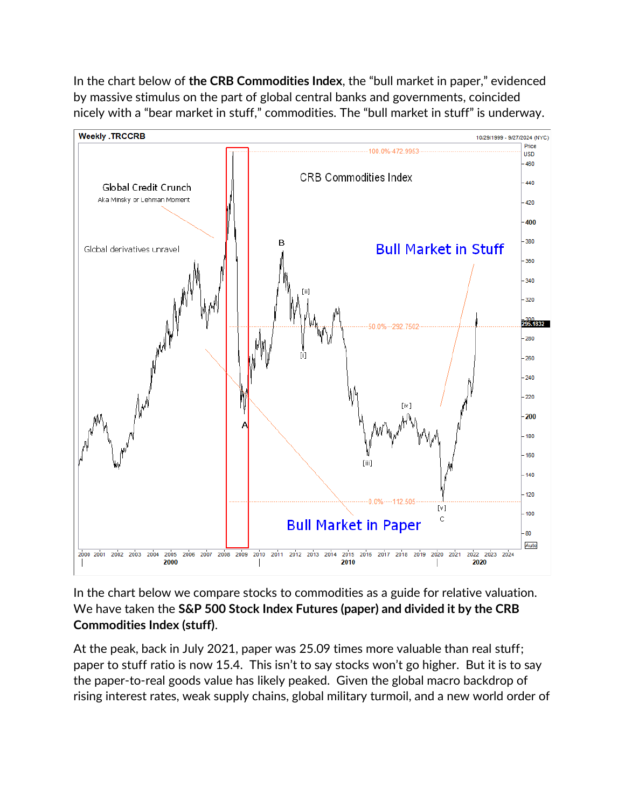In the chart below of **the CRB Commodities Index**, the "bull market in paper," evidenced by massive stimulus on the part of global central banks and governments, coincided nicely with a "bear market in stuff," commodities. The "bull market in stuff" is underway.



In the chart below we compare stocks to commodities as a guide for relative valuation. We have taken the **S&P 500 Stock Index Futures (paper) and divided it by the CRB Commodities Index (stuff)**.

At the peak, back in July 2021, paper was 25.09 times more valuable than real stuff; paper to stuff ratio is now 15.4. This isn't to say stocks won't go higher. But it is to say the paper-to-real goods value has likely peaked. Given the global macro backdrop of rising interest rates, weak supply chains, global military turmoil, and a new world order of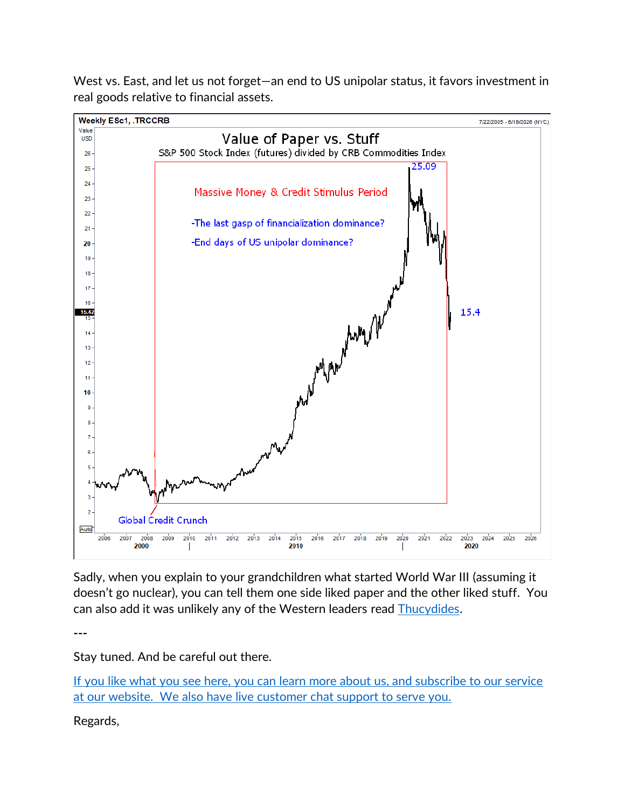West vs. East, and let us not forget—an end to US unipolar status, it favors investment in real goods relative to financial assets.



Sadly, when you explain to your grandchildren what started World War III (assuming it doesn't go nuclear), you can tell them one side liked paper and the other liked stuff. You can also add it was unlikely any of the Western leaders read **Thucydides**.

**---**

Stay tuned. And be careful out there.

If you like what you see here, you can learn more about us, and subscribe to our service at our [website.](https://wavetraders.com/) We also have live customer chat support to serve you.

Regards,